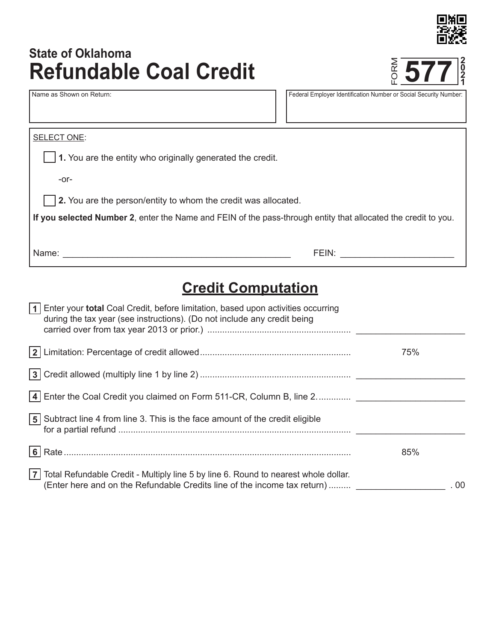

# **Refundable Coal Credit** Name as Shown on Return: Federal Employer Identification Number or Social Security Number: FORM **State of Oklahoma**



| SELECT ONE:                                                                                                    |  |  |
|----------------------------------------------------------------------------------------------------------------|--|--|
|                                                                                                                |  |  |
| 1. You are the entity who originally generated the credit.                                                     |  |  |
| $-0r-$                                                                                                         |  |  |
| $\vert$ 2. You are the person/entity to whom the credit was allocated.                                         |  |  |
| If you selected Number 2, enter the Name and FEIN of the pass-through entity that allocated the credit to you. |  |  |
| Name:<br>FEIN:                                                                                                 |  |  |

# **Credit Computation**

| 1   Enter your <b>total</b> Coal Credit, before limitation, based upon activities occurring<br>during the tax year (see instructions). (Do not include any credit being |     |
|-------------------------------------------------------------------------------------------------------------------------------------------------------------------------|-----|
|                                                                                                                                                                         | 75% |
|                                                                                                                                                                         |     |
| 4 Enter the Coal Credit you claimed on Form 511-CR, Column B, line 2                                                                                                    |     |
| <b>5</b> Subtract line 4 from line 3. This is the face amount of the credit eligible                                                                                    |     |
|                                                                                                                                                                         | 85% |
| 7 Total Refundable Credit - Multiply line 5 by line 6. Round to nearest whole dollar.<br>(Enter here and on the Refundable Credits line of the income tax return)       | .00 |